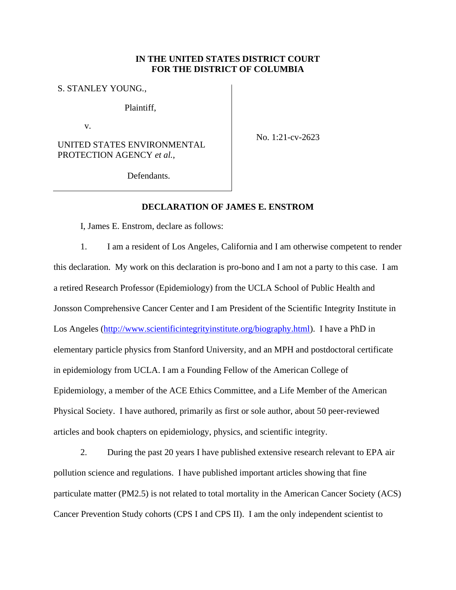# **IN THE UNITED STATES DISTRICT COURT FOR THE DISTRICT OF COLUMBIA**

S. STANLEY YOUNG*.*,

Plaintiff,

v.

UNITED STATES ENVIRONMENTAL PROTECTION AGENCY *et al.*,

No. 1:21-cv-2623

Defendants.

### **DECLARATION OF JAMES E. ENSTROM**

I, James E. Enstrom, declare as follows:

1. I am a resident of Los Angeles, California and I am otherwise competent to render this declaration. My work on this declaration is pro-bono and I am not a party to this case. I am a retired Research Professor (Epidemiology) from the UCLA School of Public Health and Jonsson Comprehensive Cancer Center and I am President of the Scientific Integrity Institute in Los Angeles [\(http://www.scientificintegrityinstitute.org/biography.html\)](http://www.scientificintegrityinstitute.org/biography.html). I have a PhD in elementary particle physics from Stanford University, and an MPH and postdoctoral certificate in epidemiology from UCLA. I am a Founding Fellow of the American College of Epidemiology, a member of the ACE Ethics Committee, and a Life Member of the American Physical Society. I have authored, primarily as first or sole author, about 50 peer-reviewed articles and book chapters on epidemiology, physics, and scientific integrity.

2. During the past 20 years I have published extensive research relevant to EPA air pollution science and regulations. I have published important articles showing that fine particulate matter (PM2.5) is not related to total mortality in the American Cancer Society (ACS) Cancer Prevention Study cohorts (CPS I and CPS II). I am the only independent scientist to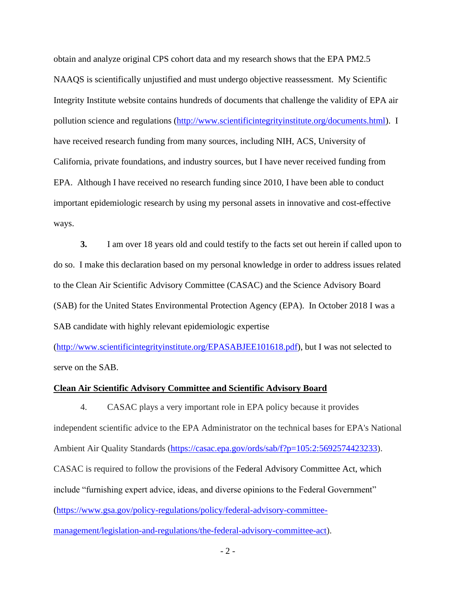obtain and analyze original CPS cohort data and my research shows that the EPA PM2.5 NAAQS is scientifically unjustified and must undergo objective reassessment. My Scientific Integrity Institute website contains hundreds of documents that challenge the validity of EPA air pollution science and regulations [\(http://www.scientificintegrityinstitute.org/documents.html\)](http://www.scientificintegrityinstitute.org/documents.html). I have received research funding from many sources, including NIH, ACS, University of California, private foundations, and industry sources, but I have never received funding from EPA. Although I have received no research funding since 2010, I have been able to conduct important epidemiologic research by using my personal assets in innovative and cost-effective ways.

**3.** I am over 18 years old and could testify to the facts set out herein if called upon to do so. I make this declaration based on my personal knowledge in order to address issues related to the Clean Air Scientific Advisory Committee (CASAC) and the Science Advisory Board (SAB) for the United States Environmental Protection Agency (EPA). In October 2018 I was a SAB candidate with highly relevant epidemiologic expertise

[\(http://www.scientificintegrityinstitute.org/EPASABJEE101618.pdf\)](http://www.scientificintegrityinstitute.org/EPASABJEE101618.pdf), but I was not selected to serve on the SAB.

#### **Clean Air Scientific Advisory Committee and Scientific Advisory Board**

4. CASAC plays a very important role in EPA policy because it provides independent scientific advice to the EPA Administrator on the technical bases for EPA's National Ambient Air Quality Standards [\(https://casac.epa.gov/ords/sab/f?p=105:2:5692574423233\)](https://casac.epa.gov/ords/sab/f?p=105:2:5692574423233). CASAC is required to follow the provisions of the Federal Advisory Committee Act, which include "furnishing expert advice, ideas, and diverse opinions to the Federal Government" [\(https://www.gsa.gov/policy-regulations/policy/federal-advisory-committee](https://www.gsa.gov/policy-regulations/policy/federal-advisory-committee-management/legislation-and-regulations/the-federal-advisory-committee-act)[management/legislation-and-regulations/the-federal-advisory-committee-act\)](https://www.gsa.gov/policy-regulations/policy/federal-advisory-committee-management/legislation-and-regulations/the-federal-advisory-committee-act).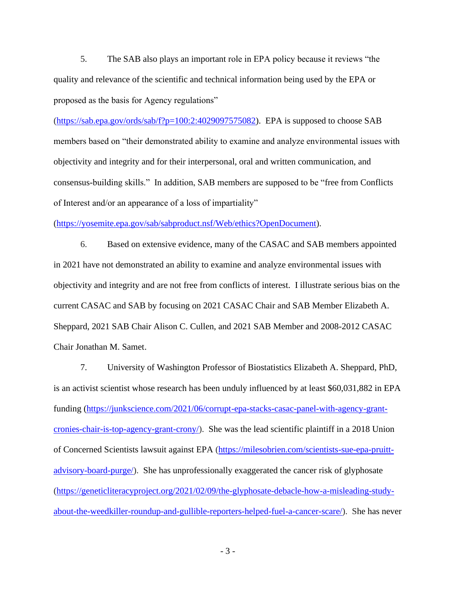5. The SAB also plays an important role in EPA policy because it reviews "the quality and relevance of the scientific and technical information being used by the EPA or proposed as the basis for Agency regulations"

[\(https://sab.epa.gov/ords/sab/f?p=100:2:4029097575082\)](https://sab.epa.gov/ords/sab/f?p=100:2:4029097575082). EPA is supposed to choose SAB members based on "their demonstrated ability to examine and analyze environmental issues with objectivity and integrity and for their interpersonal, oral and written communication, and consensus-building skills." In addition, SAB members are supposed to be "free from Conflicts of Interest and/or an appearance of a loss of impartiality"

[\(https://yosemite.epa.gov/sab/sabproduct.nsf/Web/ethics?OpenDocument\)](https://yosemite.epa.gov/sab/sabproduct.nsf/Web/ethics?OpenDocument).

6. Based on extensive evidence, many of the CASAC and SAB members appointed in 2021 have not demonstrated an ability to examine and analyze environmental issues with objectivity and integrity and are not free from conflicts of interest. I illustrate serious bias on the current CASAC and SAB by focusing on 2021 CASAC Chair and SAB Member Elizabeth A. Sheppard, 2021 SAB Chair Alison C. Cullen, and 2021 SAB Member and 2008-2012 CASAC Chair Jonathan M. Samet.

7. University of Washington Professor of Biostatistics Elizabeth A. Sheppard, PhD, is an activist scientist whose research has been unduly influenced by at least \$60,031,882 in EPA funding [\(https://junkscience.com/2021/06/corrupt-epa-stacks-casac-panel-with-agency-grant](https://junkscience.com/2021/06/corrupt-epa-stacks-casac-panel-with-agency-grant-cronies-chair-is-top-agency-grant-crony/)[cronies-chair-is-top-agency-grant-crony/\)](https://junkscience.com/2021/06/corrupt-epa-stacks-casac-panel-with-agency-grant-cronies-chair-is-top-agency-grant-crony/). She was the lead scientific plaintiff in a 2018 Union of Concerned Scientists lawsuit against EPA [\(https://milesobrien.com/scientists-sue-epa-pruitt](https://milesobrien.com/scientists-sue-epa-pruitt-advisory-board-purge/)[advisory-board-purge/\)](https://milesobrien.com/scientists-sue-epa-pruitt-advisory-board-purge/). She has unprofessionally exaggerated the cancer risk of glyphosate [\(https://geneticliteracyproject.org/2021/02/09/the-glyphosate-debacle-how-a-misleading-study](https://geneticliteracyproject.org/2021/02/09/the-glyphosate-debacle-how-a-misleading-study-about-the-weedkiller-roundup-and-gullible-reporters-helped-fuel-a-cancer-scare/)[about-the-weedkiller-roundup-and-gullible-reporters-helped-fuel-a-cancer-scare/\)](https://geneticliteracyproject.org/2021/02/09/the-glyphosate-debacle-how-a-misleading-study-about-the-weedkiller-roundup-and-gullible-reporters-helped-fuel-a-cancer-scare/). She has never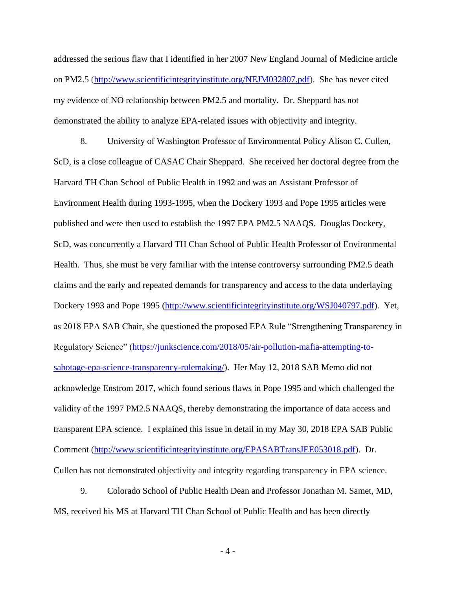addressed the serious flaw that I identified in her 2007 New England Journal of Medicine article on PM2.5 [\(http://www.scientificintegrityinstitute.org/NEJM032807.pdf\)](http://www.scientificintegrityinstitute.org/NEJM032807.pdf). She has never cited my evidence of NO relationship between PM2.5 and mortality. Dr. Sheppard has not demonstrated the ability to analyze EPA-related issues with objectivity and integrity.

8. University of Washington Professor of Environmental Policy Alison C. Cullen, ScD, is a close colleague of CASAC Chair Sheppard. She received her doctoral degree from the Harvard TH Chan School of Public Health in 1992 and was an Assistant Professor of Environment Health during 1993-1995, when the Dockery 1993 and Pope 1995 articles were published and were then used to establish the 1997 EPA PM2.5 NAAQS. Douglas Dockery, ScD, was concurrently a Harvard TH Chan School of Public Health Professor of Environmental Health. Thus, she must be very familiar with the intense controversy surrounding PM2.5 death claims and the early and repeated demands for transparency and access to the data underlaying Dockery 1993 and Pope 1995 [\(http://www.scientificintegrityinstitute.org/WSJ040797.pdf\)](http://www.scientificintegrityinstitute.org/WSJ040797.pdf). Yet, as 2018 EPA SAB Chair, she questioned the proposed EPA Rule "Strengthening Transparency in Regulatory Science" [\(https://junkscience.com/2018/05/air-pollution-mafia-attempting-to](https://junkscience.com/2018/05/air-pollution-mafia-attempting-to-sabotage-epa-science-transparency-rulemaking/)[sabotage-epa-science-transparency-rulemaking/\)](https://junkscience.com/2018/05/air-pollution-mafia-attempting-to-sabotage-epa-science-transparency-rulemaking/). Her May 12, 2018 SAB Memo did not acknowledge Enstrom 2017, which found serious flaws in Pope 1995 and which challenged the validity of the 1997 PM2.5 NAAQS, thereby demonstrating the importance of data access and transparent EPA science. I explained this issue in detail in my May 30, 2018 EPA SAB Public Comment [\(http://www.scientificintegrityinstitute.org/EPASABTransJEE053018.pdf\)](http://scientificintegrityinstitute.org/EPASABTransJEE053018.pdf). Dr. Cullen has not demonstrated objectivity and integrity regarding transparency in EPA science.

9. Colorado School of Public Health Dean and Professor Jonathan M. Samet, MD, MS, received his MS at Harvard TH Chan School of Public Health and has been directly

- 4 -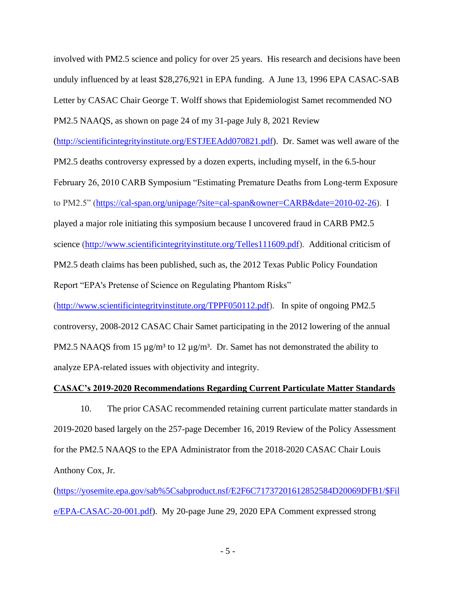involved with PM2.5 science and policy for over 25 years. His research and decisions have been unduly influenced by at least \$28,276,921 in EPA funding. A June 13, 1996 EPA CASAC-SAB Letter by CASAC Chair George T. Wolff shows that Epidemiologist Samet recommended NO PM2.5 NAAQS, as shown on page 24 of my 31-page July 8, 2021 Review

[\(http://scientificintegrityinstitute.org/ESTJEEAdd070821.pdf\)](http://scientificintegrityinstitute.org/ESTJEEAdd070821.pdf). Dr. Samet was well aware of the

PM2.5 deaths controversy expressed by a dozen experts, including myself, in the 6.5-hour

February 26, 2010 CARB Symposium "Estimating Premature Deaths from Long-term Exposure

to PM2.5" [\(https://cal-span.org/unipage/?site=cal-span&owner=CARB&date=2010-02-26\)](https://cal-span.org/unipage/?site=cal-span&owner=CARB&date=2010-02-26). I

played a major role initiating this symposium because I uncovered fraud in CARB PM2.5 science [\(http://www.scientificintegrityinstitute.org/Telles111609.pdf\)](http://www.scientificintegrityinstitute.org/Telles111609.pdf). Additional criticism of PM2.5 death claims has been published, such as, the 2012 Texas Public Policy Foundation Report "EPA's Pretense of Science on Regulating Phantom Risks"

[\(http://www.scientificintegrityinstitute.org/TPPF050112.pdf\)](http://www.scientificintegrityinstitute.org/TPPF050112.pdf). In spite of ongoing PM2.5 controversy, 2008-2012 CASAC Chair Samet participating in the 2012 lowering of the annual PM2.5 NAAQS from 15  $\mu$ g/m<sup>3</sup> to 12  $\mu$ g/m<sup>3</sup>. Dr. Samet has not demonstrated the ability to analyze EPA-related issues with objectivity and integrity.

# **CASAC's 2019-2020 Recommendations Regarding Current Particulate Matter Standards**

10. The prior CASAC recommended retaining current particulate matter standards in 2019-2020 based largely on the 257-page December 16, 2019 Review of the Policy Assessment for the PM2.5 NAAQS to the EPA Administrator from the 2018-2020 CASAC Chair Louis Anthony Cox, Jr.

[\(https://yosemite.epa.gov/sab%5Csabproduct.nsf/E2F6C71737201612852584D20069DFB1/\\$Fil](https://yosemite.epa.gov/sab%5Csabproduct.nsf/E2F6C71737201612852584D20069DFB1/$File/EPA-CASAC-20-001.pdf) [e/EPA-CASAC-20-001.pdf\)](https://yosemite.epa.gov/sab%5Csabproduct.nsf/E2F6C71737201612852584D20069DFB1/$File/EPA-CASAC-20-001.pdf). My 20-page June 29, 2020 EPA Comment expressed strong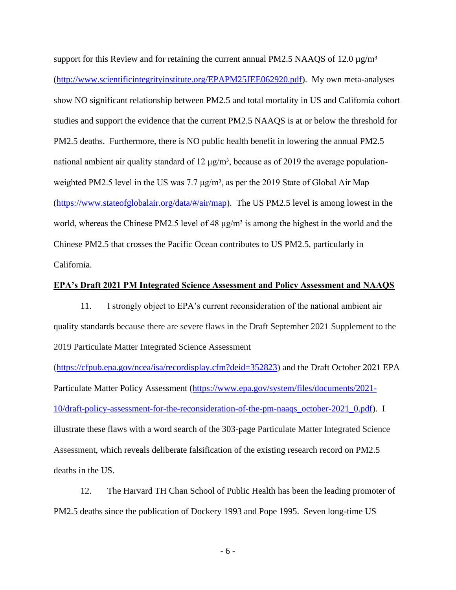support for this Review and for retaining the current annual PM2.5 NAAQS of 12.0  $\mu$ g/m<sup>3</sup> [\(http://www.scientificintegrityinstitute.org/EPAPM25JEE062920.pdf\)](http://www.scientificintegrityinstitute.org/EPAPM25JEE062920.pdf). My own meta-analyses show NO significant relationship between PM2.5 and total mortality in US and California cohort studies and support the evidence that the current PM2.5 NAAQS is at or below the threshold for PM2.5 deaths. Furthermore, there is NO public health benefit in lowering the annual PM2.5 national ambient air quality standard of 12  $\mu$ g/m<sup>3</sup>, because as of 2019 the average populationweighted PM2.5 level in the US was 7.7  $\mu$ g/m<sup>3</sup>, as per the 2019 State of Global Air Map [\(https://www.stateofglobalair.org/data/#/air/map\)](https://www.stateofglobalair.org/data/#/air/map). The US PM2.5 level is among lowest in the world, whereas the Chinese PM2.5 level of 48  $\mu$ g/m<sup>3</sup> is among the highest in the world and the Chinese PM2.5 that crosses the Pacific Ocean contributes to US PM2.5, particularly in California.

### **EPA's Draft 2021 PM Integrated Science Assessment and Policy Assessment and NAAQS**

11. I strongly object to EPA's current reconsideration of the national ambient air quality standards because there are severe flaws in the Draft September 2021 Supplement to the 2019 Particulate Matter Integrated Science Assessment

[\(https://cfpub.epa.gov/ncea/isa/recordisplay.cfm?deid=352823\)](https://cfpub.epa.gov/ncea/isa/recordisplay.cfm?deid=352823) and the Draft October 2021 EPA Particulate Matter Policy Assessment [\(https://www.epa.gov/system/files/documents/2021-](https://www.epa.gov/system/files/documents/2021-10/draft-policy-assessment-for-the-reconsideration-of-the-pm-naaqs_october-2021_0.pdf) [10/draft-policy-assessment-for-the-reconsideration-of-the-pm-naaqs\\_october-2021\\_0.pdf\)](https://www.epa.gov/system/files/documents/2021-10/draft-policy-assessment-for-the-reconsideration-of-the-pm-naaqs_october-2021_0.pdf). I illustrate these flaws with a word search of the 303-page Particulate Matter Integrated Science Assessment, which reveals deliberate falsification of the existing research record on PM2.5 deaths in the US.

12. The Harvard TH Chan School of Public Health has been the leading promoter of PM2.5 deaths since the publication of Dockery 1993 and Pope 1995. Seven long-time US

- 6 -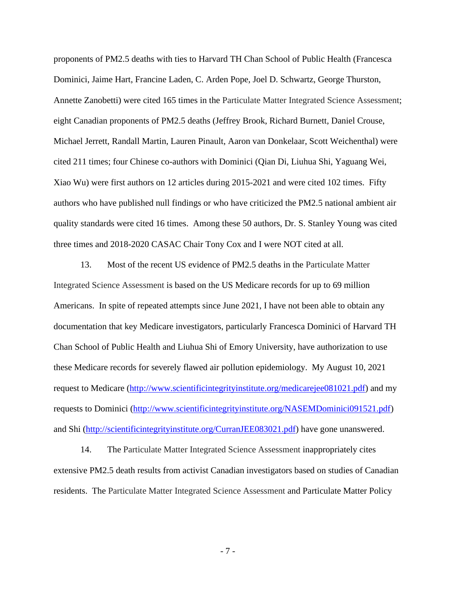proponents of PM2.5 deaths with ties to Harvard TH Chan School of Public Health (Francesca Dominici, Jaime Hart, Francine Laden, C. Arden Pope, Joel D. Schwartz, George Thurston, Annette Zanobetti) were cited 165 times in the Particulate Matter Integrated Science Assessment; eight Canadian proponents of PM2.5 deaths (Jeffrey Brook, Richard Burnett, Daniel Crouse, Michael Jerrett, Randall Martin, Lauren Pinault, Aaron van Donkelaar, Scott Weichenthal) were cited 211 times; four Chinese co-authors with Dominici (Qian Di, Liuhua Shi, Yaguang Wei, Xiao Wu) were first authors on 12 articles during 2015-2021 and were cited 102 times. Fifty authors who have published null findings or who have criticized the PM2.5 national ambient air quality standards were cited 16 times. Among these 50 authors, Dr. S. Stanley Young was cited three times and 2018-2020 CASAC Chair Tony Cox and I were NOT cited at all.

13. Most of the recent US evidence of PM2.5 deaths in the Particulate Matter Integrated Science Assessment is based on the US Medicare records for up to 69 million Americans. In spite of repeated attempts since June 2021, I have not been able to obtain any documentation that key Medicare investigators, particularly Francesca Dominici of Harvard TH Chan School of Public Health and Liuhua Shi of Emory University, have authorization to use these Medicare records for severely flawed air pollution epidemiology. My August 10, 2021 request to Medicare [\(http://www.scientificintegrityinstitute.org/medicarejee081021.pdf\)](http://www.scientificintegrityinstitute.org/medicarejee081021.pdf) and my requests to Dominici [\(http://www.scientificintegrityinstitute.org/NASEMDominici091521.pdf\)](http://www.scientificintegrityinstitute.org/NASEMDominici091521.pdf) and Shi [\(http://scientificintegrityinstitute.org/CurranJEE083021.pdf\)](http://scientificintegrityinstitute.org/CurranJEE083021.pdf) have gone unanswered.

14. The Particulate Matter Integrated Science Assessment inappropriately cites extensive PM2.5 death results from activist Canadian investigators based on studies of Canadian residents. The Particulate Matter Integrated Science Assessment and Particulate Matter Policy

- 7 -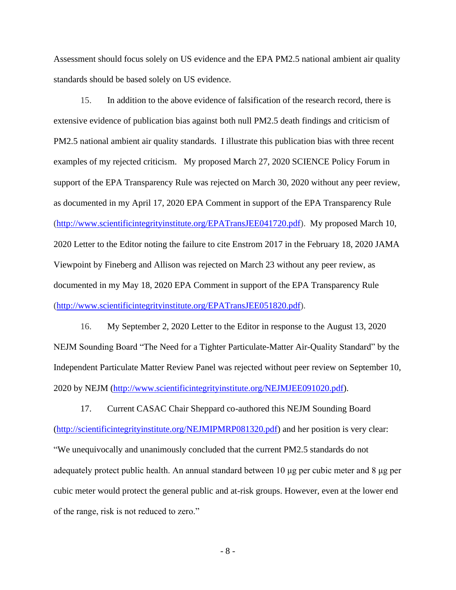Assessment should focus solely on US evidence and the EPA PM2.5 national ambient air quality standards should be based solely on US evidence.

15. In addition to the above evidence of falsification of the research record, there is extensive evidence of publication bias against both null PM2.5 death findings and criticism of PM2.5 national ambient air quality standards. I illustrate this publication bias with three recent examples of my rejected criticism. My proposed March 27, 2020 SCIENCE Policy Forum in support of the EPA Transparency Rule was rejected on March 30, 2020 without any peer review, as documented in my April 17, 2020 EPA Comment in support of the EPA Transparency Rule [\(http://www.scientificintegrityinstitute.org/EPATransJEE041720.pdf\)](http://www.scientificintegrityinstitute.org/EPATransJEE041720.pdf). My proposed March 10, 2020 Letter to the Editor noting the failure to cite Enstrom 2017 in the February 18, 2020 JAMA Viewpoint by Fineberg and Allison was rejected on March 23 without any peer review, as documented in my May 18, 2020 EPA Comment in support of the EPA Transparency Rule [\(http://www.scientificintegrityinstitute.org/EPATransJEE051820.pdf\)](http://www.scientificintegrityinstitute.org/EPATransJEE051820.pdf).

16. My September 2, 2020 Letter to the Editor in response to the August 13, 2020 NEJM Sounding Board "The Need for a Tighter Particulate-Matter Air-Quality Standard" by the Independent Particulate Matter Review Panel was rejected without peer review on September 10, 2020 by NEJM [\(http://www.scientificintegrityinstitute.org/NEJMJEE091020.pdf\)](http://www.scientificintegrityinstitute.org/NEJMJEE091020.pdf).

17. Current CASAC Chair Sheppard co-authored this NEJM Sounding Board [\(http://scientificintegrityinstitute.org/NEJMIPMRP081320.pdf\)](http://scientificintegrityinstitute.org/NEJMIPMRP081320.pdf) and her position is very clear: "We unequivocally and unanimously concluded that the current PM2.5 standards do not adequately protect public health. An annual standard between 10 μg per cubic meter and 8 μg per cubic meter would protect the general public and at-risk groups. However, even at the lower end of the range, risk is not reduced to zero."

- 8 -